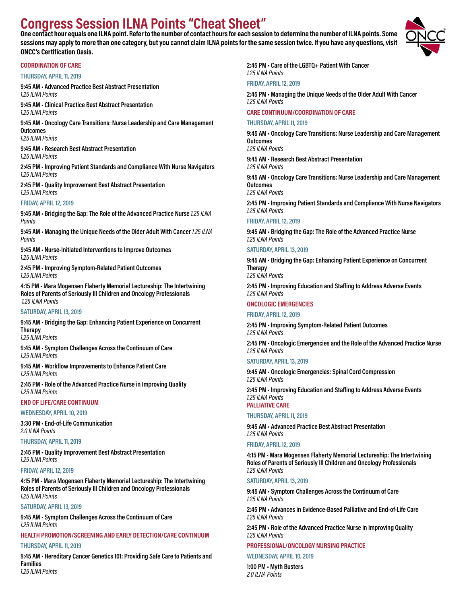# **Congress Session ILNA Points "Cheat Sheet"**

**One contact hour equals one ILNA point. Refer to the number of contact hours for each session to determine the number of ILNA points. Some sessions may apply to more than one category, but you cannot claim ILNA points for the same session twice. If you have any questions, visit ONCC's Certification Oasis.**

# **COORDINATION OF CARE**

# **THURSDAY, APRIL 11, 2019**

**9:45 AM • Advanced Practice Best Abstract Presentation** *1.25 ILNA Points* **9:45 AM • Clinical Practice Best Abstract Presentation**

*1.25 ILNA Points* 

**9:45 AM • Oncology Care Transitions: Nurse Leadership and Care Management Outcomes**

*1.25 ILNA Points* 

**9:45 AM • Research Best Abstract Presentation** *1.25 ILNA Points* 

**2:45 PM • Improving Patient Standards and Compliance With Nurse Navigators** *1.25 ILNA Points* 

**2:45 PM • Quality Improvement Best Abstract Presentation** *1.25 ILNA Points* 

# **FRIDAY, APRIL 12, 2019**

**9:45 AM • Bridging the Gap: The Role of the Advanced Practice Nurse** *1.25 ILNA Points*

**9:45 AM • Managing the Unique Needs of the Older Adult With Cancer** *1.25 ILNA Points*

**9:45 AM • Nurse-Initiated Interventions to Improve Outcomes** *1.25 ILNA Points*

**2:45 PM • Improving Symptom-Related Patient Outcomes** *1.25 ILNA Points*

**4:15 PM • Mara Mogensen Flaherty Memorial Lectureship: The Intertwining Roles of Parents of Seriously Ill Children and Oncology Professionals** *1.25 ILNA Points*

# **SATURDAY, APRIL 13, 2019**

**9:45 AM • Bridging the Gap: Enhancing Patient Experience on Concurrent Therapy**

*1.25 ILNA Points*

**9:45 AM • Symptom Challenges Across the Continuum of Care** *1.25 ILNA Points*

**9:45 AM • Workflow Improvements to Enhance Patient Care** *1.25 ILNA Points*

**2:45 PM • Role of the Advanced Practice Nurse in Improving Quality** *1.25 ILNA Points*

**END OF LIFE/CARE CONTINUUM**

**WEDNESDAY, APRIL 10, 2019**

**3:30 PM • End-of-Life Communication** *2.0 ILNA Points*

**THURSDAY, APRIL 11, 2019**

**2:45 PM • Quality Improvement Best Abstract Presentation** *1.25 ILNA Points*

# **FRIDAY, APRIL 12, 2019**

**4:15 PM • Mara Mogensen Flaherty Memorial Lectureship: The Intertwining Roles of Parents of Seriously Ill Children and Oncology Professionals** *1.25 ILNA Points*

# **SATURDAY, APRIL 13, 2019**

**9:45 AM • Symptom Challenges Across the Continuum of Care** *1.25 ILNA Points*

# **HEALTH PROMOTION/SCREENING AND EARLY DETECTION/CARE CONTINUUM**

# **THURSDAY, APRIL 11, 2019**

**9:45 AM • Hereditary Cancer Genetics 101: Providing Safe Care to Patients and Families** *1.25 ILNA Points*

**2:45 PM • Care of the LGBTQ+ Patient With Cancer** *1.25 ILNA Points*

# **FRIDAY, APRIL 12, 2019**

**2:45 PM • Managing the Unique Needs of the Older Adult With Cancer** *1.25 ILNA Points*

# **CARE CONTINUUM/COORDINATION OF CARE**

**THURSDAY, APRIL 11, 2019**

**9:45 AM • Oncology Care Transitions: Nurse Leadership and Care Management Outcomes** *1.25 ILNA Points*

**9:45 AM • Research Best Abstract Presentation** *1.25 ILNA Points*

**9:45 AM • Oncology Care Transitions: Nurse Leadership and Care Management Outcomes**

*1.25 ILNA Points*

**2:45 PM • Improving Patient Standards and Compliance With Nurse Navigators** *1.25 ILNA Points* 

# **FRIDAY, APRIL 12, 2019**

**9:45 AM • Bridging the Gap: The Role of the Advanced Practice Nurse** *1.25 ILNA Points* 

# **SATURDAY, APRIL 13, 2019**

**9:45 AM • Bridging the Gap: Enhancing Patient Experience on Concurrent Therapy**

*1.25 ILNA Points*

**2:45 PM • Improving Education and Staffing to Address Adverse Events** *1.25 ILNA Points*

# **ONCOLOGIC EMERGENCIES**

## **FRIDAY, APRIL 12, 2019**

**2:45 PM • Improving Symptom-Related Patient Outcomes** *1.25 ILNA Points*

**2:45 PM • Oncologic Emergencies and the Role of the Advanced Practice Nurse** *1.25 ILNA Points*

## **SATURDAY, APRIL 13, 2019**

**9:45 AM • Oncologic Emergencies: Spinal Cord Compression** *1.25 ILNA Points*

**2:45 PM • Improving Education and Staffing to Address Adverse Events** *1.25 ILNA Points*

**PALLIATIVE CARE**

# **THURSDAY, APRIL 11, 2019**

**9:45 AM • Advanced Practice Best Abstract Presentation** *1.25 ILNA Points*

## **FRIDAY, APRIL 12, 2019**

**4:15 PM • Mara Mogensen Flaherty Memorial Lectureship: The Intertwining Roles of Parents of Seriously Ill Children and Oncology Professionals** *1.25 ILNA Points*

## **SATURDAY, APRIL 13, 2019**

**9:45 AM • Symptom Challenges Across the Continuum of Care** *1.25 ILNA Points*

**2:45 PM • Advances in Evidence-Based Palliative and End-of-Life Care** *1.25 ILNA Points*

**2:45 PM • Role of the Advanced Practice Nurse in Improving Quality** *1.25 ILNA Points*

# **PROFESSIONAL/ONCOLOGY NURSING PRACTICE**

# **WEDNESDAY, APRIL 10, 2019**

**1:00 PM • Myth Busters** *2.0 ILNA Points* 

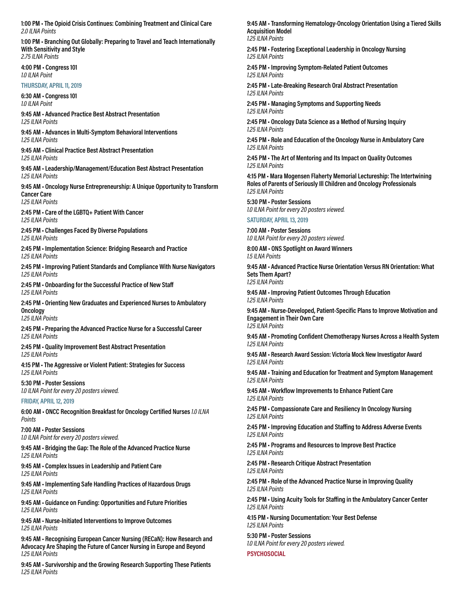**1:00 PM • The Opioid Crisis Continues: Combining Treatment and Clinical Care** *2.0 ILNA Points*

**1:00 PM • Branching Out Globally: Preparing to Travel and Teach Internationally With Sensitivity and Style** *2.75 ILNA Points*

**4:00 PM • Congress 101** *1.0 ILNA Point*

**THURSDAY, APRIL 11, 2019**

**6:30 AM • Congress 101** *1.0 ILNA Point*

**9:45 AM • Advanced Practice Best Abstract Presentation** *1.25 ILNA Points*

**9:45 AM • Advances in Multi-Symptom Behavioral Interventions** *1.25 ILNA Points*

**9:45 AM • Clinical Practice Best Abstract Presentation** *1.25 ILNA Points*

**9:45 AM • Leadership/Management/Education Best Abstract Presentation** *1.25 ILNA Points*

**9:45 AM • Oncology Nurse Entrepreneurship: A Unique Opportunity to Transform Cancer Care** *1.25 ILNA Points*

**2:45 PM • Care of the LGBTQ+ Patient With Cancer** *1.25 ILNA Points*

**2:45 PM • Challenges Faced By Diverse Populations** *1.25 ILNA Points*

**2:45 PM • Implementation Science: Bridging Research and Practice** *1.25 ILNA Points*

**2:45 PM • Improving Patient Standards and Compliance With Nurse Navigators** *1.25 ILNA Points*

**2:45 PM • Onboarding for the Successful Practice of New Staff** *1.25 ILNA Points*

**2:45 PM • Orienting New Graduates and Experienced Nurses to Ambulatory Oncology**

*1.25 ILNA Points*

**2:45 PM • Preparing the Advanced Practice Nurse for a Successful Career** *1.25 ILNA Points*

**2:45 PM • Quality Improvement Best Abstract Presentation** *1.25 ILNA Points*

**4:15 PM • The Aggressive or Violent Patient: Strategies for Success** *1.25 ILNA Points*

**5:30 PM • Poster Sessions** *1.0 ILNA Point for every 20 posters viewed.*

**FRIDAY, APRIL 12, 2019**

**6:00 AM • ONCC Recognition Breakfast for Oncology Certified Nurses** *1.0 ILNA Points*

**7:00 AM • Poster Sessions** *1.0 ILNA Point for every 20 posters viewed.*

**9:45 AM • Bridging the Gap: The Role of the Advanced Practice Nurse** *1.25 ILNA Points*

**9:45 AM • Complex Issues in Leadership and Patient Care** *1.25 ILNA Points*

**9:45 AM • Implementing Safe Handling Practices of Hazardous Drugs** *1.25 ILNA Points*

**9:45 AM • Guidance on Funding: Opportunities and Future Priorities** *1.25 ILNA Points*

**9:45 AM • Nurse-Initiated Interventions to Improve Outcomes** *1.25 ILNA Points*

**9:45 AM • Recognising European Cancer Nursing (RECaN): How Research and Advocacy Are Shaping the Future of Cancer Nursing in Europe and Beyond** *1.25 ILNA Points*

**9:45 AM • Survivorship and the Growing Research Supporting These Patients** *1.25 ILNA Points*

**9:45 AM • Transforming Hematology-Oncology Orientation Using a Tiered Skills Acquisition Model** *1.25 ILNA Points*

**2:45 PM • Fostering Exceptional Leadership in Oncology Nursing** *1.25 ILNA Points*

**2:45 PM • Improving Symptom-Related Patient Outcomes** *1.25 ILNA Points*

**2:45 PM • Late-Breaking Research Oral Abstract Presentation** *1.25 ILNA Points*

**2:45 PM • Managing Symptoms and Supporting Needs** *1.25 ILNA Points*

**2:45 PM • Oncology Data Science as a Method of Nursing Inquiry** *1.25 ILNA Points*

**2:45 PM • Role and Education of the Oncology Nurse in Ambulatory Care** *1.25 ILNA Points*

**2:45 PM • The Art of Mentoring and Its Impact on Quality Outcomes** *1.25 ILNA Points*

**4:15 PM • Mara Mogensen Flaherty Memorial Lectureship: The Intertwining Roles of Parents of Seriously Ill Children and Oncology Professionals** *1.25 ILNA Points*

**5:30 PM • Poster Sessions** *1.0 ILNA Point for every 20 posters viewed.*

**SATURDAY, APRIL 13, 2019**

**7:00 AM • Poster Sessions** *1.0 ILNA Point for every 20 posters viewed.*

**8:00 AM • ONS Spotlight on Award Winners** *1.5 ILNA Points*

**9:45 AM • Advanced Practice Nurse Orientation Versus RN Orientation: What Sets Them Apart?** *1.25 ILNA Points*

**9:45 AM • Improving Patient Outcomes Through Education** *1.25 ILNA Points*

**9:45 AM • Nurse-Developed, Patient-Specific Plans to Improve Motivation and Engagement in Their Own Care** *1.25 ILNA Points*

**9:45 AM • Promoting Confident Chemotherapy Nurses Across a Health System** *1.25 ILNA Points*

**9:45 AM • Research Award Session: Victoria Mock New Investigator Award** *1.25 ILNA Points*

**9:45 AM • Training and Education for Treatment and Symptom Management** *1.25 ILNA Points*

**9:45 AM • Workflow Improvements to Enhance Patient Care** *1.25 ILNA Points*

**2:45 PM • Compassionate Care and Resiliency In Oncology Nursing** *1.25 ILNA Points*

**2:45 PM • Improving Education and Staffing to Address Adverse Events** *1.25 ILNA Points*

**2:45 PM • Programs and Resources to Improve Best Practice** *1.25 ILNA Points*

**2:45 PM • Research Critique Abstract Presentation** *1.25 ILNA Points*

**2:45 PM • Role of the Advanced Practice Nurse in Improving Quality** *1.25 ILNA Points*

**2:45 PM • Using Acuity Tools for Staffing in the Ambulatory Cancer Center** *1.25 ILNA Points*

**4:15 PM • Nursing Documentation: Your Best Defense** *1.25 ILNA Points*

**5:30 PM • Poster Sessions** *1.0 ILNA Point for every 20 posters viewed.*

**PSYCHOSOCIAL**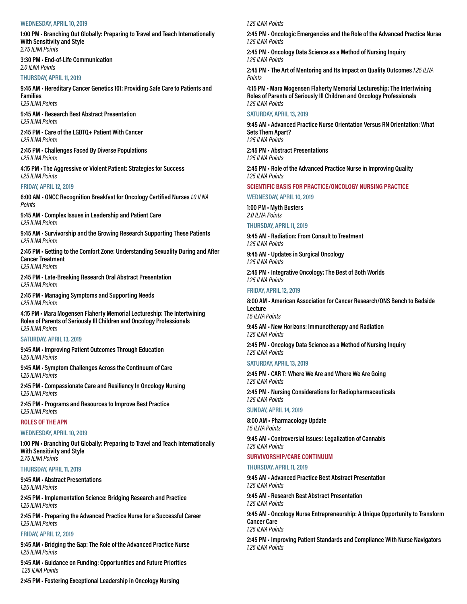#### **WEDNESDAY, APRIL 10, 2019**

**1:00 PM • Branching Out Globally: Preparing to Travel and Teach Internationally With Sensitivity and Style** *2.75 ILNA Points*

**3:30 PM • End-of-Life Communication** *2.0 ILNA Points*

#### **THURSDAY, APRIL 11, 2019**

**9:45 AM • Hereditary Cancer Genetics 101: Providing Safe Care to Patients and Families** *1.25 ILNA Points*

**9:45 AM • Research Best Abstract Presentation** *1.25 ILNA Points*

**2:45 PM • Care of the LGBTQ+ Patient With Cancer** *1.25 ILNA Points*

**2:45 PM • Challenges Faced By Diverse Populations** *1.25 ILNA Points*

**4:15 PM • The Aggressive or Violent Patient: Strategies for Success** *1.25 ILNA Points*

# **FRIDAY, APRIL 12, 2019**

**6:00 AM • ONCC Recognition Breakfast for Oncology Certified Nurses** *1.0 ILNA Points*

**9:45 AM • Complex Issues in Leadership and Patient Care** *1.25 ILNA Points*

**9:45 AM • Survivorship and the Growing Research Supporting These Patients** *1.25 ILNA Points*

**2:45 PM • Getting to the Comfort Zone: Understanding Sexuality During and After Cancer Treatment** *1.25 ILNA Points*

**2:45 PM • Late-Breaking Research Oral Abstract Presentation** *1.25 ILNA Points*

**2:45 PM • Managing Symptoms and Supporting Needs** *1.25 ILNA Points*

**4:15 PM • Mara Mogensen Flaherty Memorial Lectureship: The Intertwining Roles of Parents of Seriously Ill Children and Oncology Professionals** *1.25 ILNA Points*

#### **SATURDAY, APRIL 13, 2019**

**9:45 AM • Improving Patient Outcomes Through Education** *1.25 ILNA Points*

**9:45 AM • Symptom Challenges Across the Continuum of Care** *1.25 ILNA Points*

**2:45 PM • Compassionate Care and Resiliency In Oncology Nursing** *1.25 ILNA Points*

**2:45 PM • Programs and Resources to Improve Best Practice** *1.25 ILNA Points*

#### **ROLES OF THE APN**

#### **WEDNESDAY, APRIL 10, 2019**

**1:00 PM • Branching Out Globally: Preparing to Travel and Teach Internationally With Sensitivity and Style** *2.75 ILNA Points*

#### **THURSDAY, APRIL 11, 2019**

**9:45 AM • Abstract Presentations** *1.25 ILNA Points*

**2:45 PM • Implementation Science: Bridging Research and Practice** *1.25 ILNA Points*

**2:45 PM • Preparing the Advanced Practice Nurse for a Successful Career** *1.25 ILNA Points*

#### **FRIDAY, APRIL 12, 2019**

**9:45 AM • Bridging the Gap: The Role of the Advanced Practice Nurse** *1.25 ILNA Points*

**9:45 AM • Guidance on Funding: Opportunities and Future Priorities** *1.25 ILNA Points*

*1.25 ILNA Points*

**2:45 PM • Oncologic Emergencies and the Role of the Advanced Practice Nurse** *1.25 ILNA Points*

**2:45 PM • Oncology Data Science as a Method of Nursing Inquiry**  *1.25 ILNA Points*

**2:45 PM • The Art of Mentoring and Its Impact on Quality Outcomes** *1.25 ILNA Points*

**4:15 PM • Mara Mogensen Flaherty Memorial Lectureship: The Intertwining Roles of Parents of Seriously Ill Children and Oncology Professionals**  *1.25 ILNA Points*

#### **SATURDAY, APRIL 13, 2019**

**9:45 AM • Advanced Practice Nurse Orientation Versus RN Orientation: What Sets Them Apart?** *1.25 ILNA Points*

**2:45 PM • Abstract Presentations** *1.25 ILNA Points*

**2:45 PM • Role of the Advanced Practice Nurse in Improving Quality** *1.25 ILNA Points*

## **SCIENTIFIC BASIS FOR PRACTICE/ONCOLOGY NURSING PRACTICE**

**WEDNESDAY, APRIL 10, 2019**

**1:00 PM • Myth Busters** *2.0 ILNA Points* 

**THURSDAY, APRIL 11, 2019**

**9:45 AM • Radiation: From Consult to Treatment** *1.25 ILNA Points*

**9:45 AM • Updates in Surgical Oncology** *1.25 ILNA Points*

**2:45 PM • Integrative Oncology: The Best of Both Worlds**  *1.25 ILNA Points*

**FRIDAY, APRIL 12, 2019**

**8:00 AM • American Association for Cancer Research/ONS Bench to Bedside Lecture** *1.5 ILNA Points*

**9:45 AM • New Horizons: Immunotherapy and Radiation** *1.25 ILNA Points*

**2:45 PM • Oncology Data Science as a Method of Nursing Inquiry** *1.25 ILNA Points*

**SATURDAY, APRIL 13, 2019**

**2:45 PM • CAR T: Where We Are and Where We Are Going** *1.25 ILNA Points*

**2:45 PM • Nursing Considerations for Radiopharmaceuticals** *1.25 ILNA Points*

**SUNDAY, APRIL 14, 2019**

**8:00 AM • Pharmacology Update** *1.5 ILNA Points*

**9:45 AM • Controversial Issues: Legalization of Cannabis** *1.25 ILNA Points*

#### **SURVIVORSHIP/CARE CONTINUUM**

**THURSDAY, APRIL 11, 2019**

**9:45 AM • Advanced Practice Best Abstract Presentation** *1.25 ILNA Points*

**9:45 AM • Research Best Abstract Presentation** *1.25 ILNA Points*

**9:45 AM • Oncology Nurse Entrepreneurship: A Unique Opportunity to Transform Cancer Care** *1.25 ILNA Points*

**2:45 PM • Improving Patient Standards and Compliance With Nurse Navigators**  *1.25 ILNA Points*

**2:45 PM • Fostering Exceptional Leadership in Oncology Nursing**